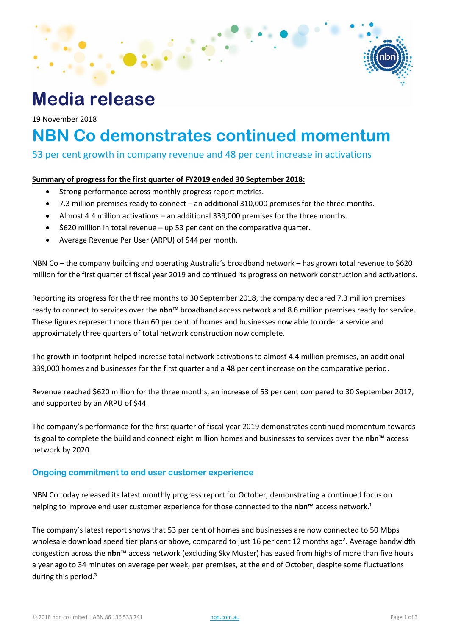

19 November 2018

# **NBN Co demonstrates continued momentum**

## 53 per cent growth in company revenue and 48 per cent increase in activations

### **Summary of progress for the first quarter of FY2019 ended 30 September 2018:**

- Strong performance across monthly progress report metrics.
- 7.3 million premises ready to connect an additional 310,000 premises for the three months.
- Almost 4.4 million activations an additional 339,000 premises for the three months.
- $\bullet$  \$620 million in total revenue up 53 per cent on the comparative quarter.
- Average Revenue Per User (ARPU) of \$44 per month.

NBN Co – the company building and operating Australia's broadband network – has grown total revenue to \$620 million for the first quarter of fiscal year 2019 and continued its progress on network construction and activations.

Reporting its progress for the three months to 30 September 2018, the company declared 7.3 million premises ready to connect to services over the **nbn**™ broadband access network and 8.6 million premises ready for service. These figures represent more than 60 per cent of homes and businesses now able to order a service and approximately three quarters of total network construction now complete.

The growth in footprint helped increase total network activations to almost 4.4 million premises, an additional 339,000 homes and businesses for the first quarter and a 48 per cent increase on the comparative period.

Revenue reached \$620 million for the three months, an increase of 53 per cent compared to 30 September 2017, and supported by an ARPU of \$44.

The company's performance for the first quarter of fiscal year 2019 demonstrates continued momentum towards its goal to complete the build and connect eight million homes and businesses to services over the **nbn**™ access network by 2020.

### **Ongoing commitment to end user customer experience**

NBN Co today released its latest monthly progress report for October, demonstrating a continued focus on helping to improve end user customer experience for those connected to the **nbn™** access network.<sup>1</sup>

The company's latest report shows that 53 per cent of homes and businesses are now connected to 50 Mbps wholesale download speed tier plans or above, compared to just 16 per cent 12 months ago<sup>2</sup>. Average bandwidth congestion across the **nbn**™ access network (excluding Sky Muster) has eased from highs of more than five hours a year ago to 34 minutes on average per week, per premises, at the end of October, despite some fluctuations during this period.<sup>3</sup>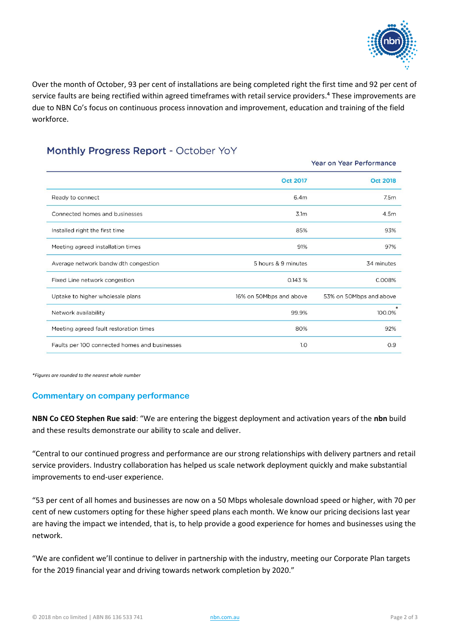

Over the month of October, 93 per cent of installations are being completed right the first time and 92 per cent of service faults are being rectified within agreed timeframes with retail service providers.<sup>4</sup> These improvements are due to NBN Co's focus on continuous process innovation and improvement, education and training of the field workforce.

# Monthly Progress Report - October YoY

|                                               | <b>Year on Year Performance</b> |                         |
|-----------------------------------------------|---------------------------------|-------------------------|
|                                               | <b>Oct 2017</b>                 | <b>Oct 2018</b>         |
| Ready to connect                              | 6.4m                            | 7.5m                    |
| Connected homes and businesses                | 3.1 <sub>m</sub>                | 4.5m                    |
| Installed right the first time                | 85%                             | 93%                     |
| Meeting agreed installation times             | 91%                             | 97%                     |
| Average network bandwidth congestion          | 5 hours & 9 minutes             | 34 minutes              |
| Fixed Line network congestion                 | 0.143 %                         | 0.008%                  |
| Uptake to higher wholesale plans              | 16% on 50Mbps and above         | 53% on 50Mbps and above |
| Network availability                          | 99.9%                           | 100.0%                  |
| Meeting agreed fault restoration times        | 80%                             | 92%                     |
| Faults per 100 connected homes and businesses | 1.0                             | O.9                     |

*\*Figures are rounded to the nearest whole number*

### **Commentary on company performance**

**NBN Co CEO Stephen Rue said**: "We are entering the biggest deployment and activation years of the **nbn** build and these results demonstrate our ability to scale and deliver.

"Central to our continued progress and performance are our strong relationships with delivery partners and retail service providers. Industry collaboration has helped us scale network deployment quickly and make substantial improvements to end-user experience.

"53 per cent of all homes and businesses are now on a 50 Mbps wholesale download speed or higher, with 70 per cent of new customers opting for these higher speed plans each month. We know our pricing decisions last year are having the impact we intended, that is, to help provide a good experience for homes and businesses using the network.

"We are confident we'll continue to deliver in partnership with the industry, meeting our Corporate Plan targets for the 2019 financial year and driving towards network completion by 2020."